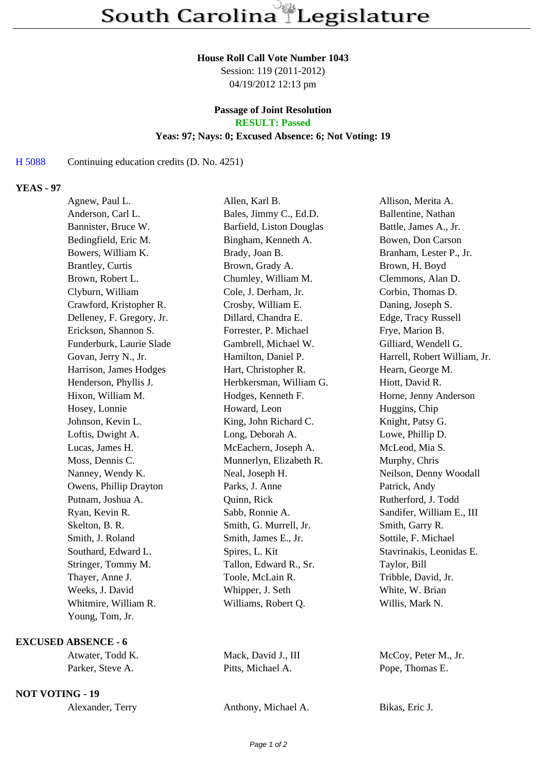#### **House Roll Call Vote Number 1043**

Session: 119 (2011-2012) 04/19/2012 12:13 pm

# **Passage of Joint Resolution**

**RESULT: Passed**

### **Yeas: 97; Nays: 0; Excused Absence: 6; Not Voting: 19**

#### H 5088 Continuing education credits (D. No. 4251)

#### **YEAS - 97**

| Agnew, Paul L.            | Allen, Karl B.           | Allison, Merita A.           |
|---------------------------|--------------------------|------------------------------|
| Anderson, Carl L.         | Bales, Jimmy C., Ed.D.   | Ballentine, Nathan           |
| Bannister, Bruce W.       | Barfield, Liston Douglas | Battle, James A., Jr.        |
| Bedingfield, Eric M.      | Bingham, Kenneth A.      | Bowen, Don Carson            |
| Bowers, William K.        | Brady, Joan B.           | Branham, Lester P., Jr.      |
| <b>Brantley</b> , Curtis  | Brown, Grady A.          | Brown, H. Boyd               |
| Brown, Robert L.          | Chumley, William M.      | Clemmons, Alan D.            |
| Clyburn, William          | Cole, J. Derham, Jr.     | Corbin, Thomas D.            |
| Crawford, Kristopher R.   | Crosby, William E.       | Daning, Joseph S.            |
| Delleney, F. Gregory, Jr. | Dillard, Chandra E.      | Edge, Tracy Russell          |
| Erickson, Shannon S.      | Forrester, P. Michael    | Frye, Marion B.              |
| Funderburk, Laurie Slade  | Gambrell, Michael W.     | Gilliard, Wendell G.         |
| Govan, Jerry N., Jr.      | Hamilton, Daniel P.      | Harrell, Robert William, Jr. |
| Harrison, James Hodges    | Hart, Christopher R.     | Hearn, George M.             |
| Henderson, Phyllis J.     | Herbkersman, William G.  | Hiott, David R.              |
| Hixon, William M.         | Hodges, Kenneth F.       | Horne, Jenny Anderson        |
| Hosey, Lonnie             | Howard, Leon             | Huggins, Chip                |
| Johnson, Kevin L.         | King, John Richard C.    | Knight, Patsy G.             |
| Loftis, Dwight A.         | Long, Deborah A.         | Lowe, Phillip D.             |
| Lucas, James H.           | McEachern, Joseph A.     | McLeod, Mia S.               |
| Moss, Dennis C.           | Munnerlyn, Elizabeth R.  | Murphy, Chris                |
| Nanney, Wendy K.          | Neal, Joseph H.          | Neilson, Denny Woodall       |
| Owens, Phillip Drayton    | Parks, J. Anne           | Patrick, Andy                |
| Putnam, Joshua A.         | Quinn, Rick              | Rutherford, J. Todd          |
| Ryan, Kevin R.            | Sabb, Ronnie A.          | Sandifer, William E., III    |
| Skelton, B. R.            | Smith, G. Murrell, Jr.   | Smith, Garry R.              |
| Smith, J. Roland          | Smith, James E., Jr.     | Sottile, F. Michael          |
| Southard, Edward L.       | Spires, L. Kit           | Stavrinakis, Leonidas E.     |
| Stringer, Tommy M.        | Tallon, Edward R., Sr.   | Taylor, Bill                 |
| Thayer, Anne J.           | Toole, McLain R.         | Tribble, David, Jr.          |
| Weeks, J. David           | Whipper, J. Seth         | White, W. Brian              |
| Whitmire, William R.      | Williams, Robert Q.      | Willis, Mark N.              |
| Young, Tom, Jr.           |                          |                              |

## **EXCUSED ABSENCE - 6**

#### **NOT VOTING - 19**

| Alexander, Terry |  |
|------------------|--|
|------------------|--|

Atwater, Todd K. Mack, David J., III McCoy, Peter M., Jr. Parker, Steve A. Pitts, Michael A. Pope, Thomas E.

Anthony, Michael A. Bikas, Eric J.